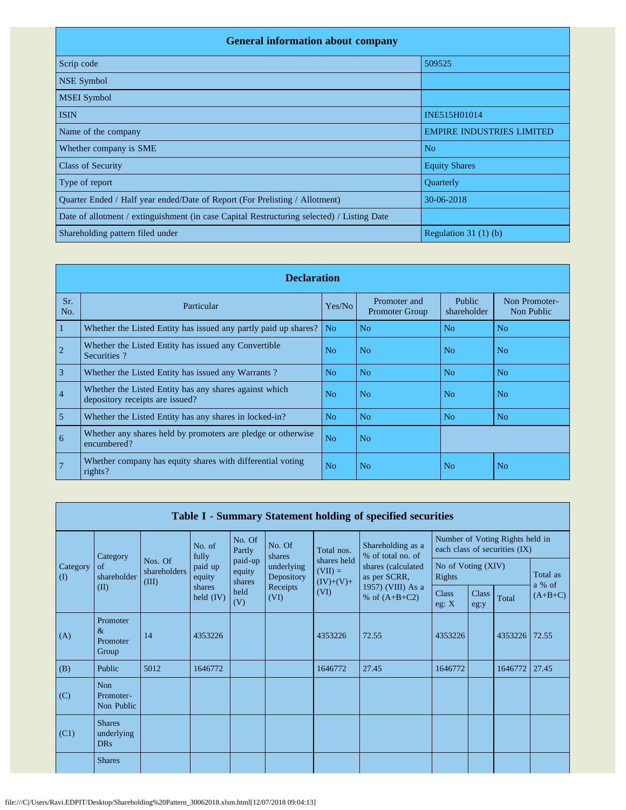| <b>General information about company</b>                                                   |                                  |
|--------------------------------------------------------------------------------------------|----------------------------------|
| Scrip code                                                                                 | 509525                           |
| <b>NSE Symbol</b>                                                                          |                                  |
| <b>MSEI</b> Symbol                                                                         |                                  |
| <b>ISIN</b>                                                                                | INE515H01014                     |
| Name of the company                                                                        | <b>EMPIRE INDUSTRIES LIMITED</b> |
| Whether company is SME                                                                     | N <sub>o</sub>                   |
| <b>Class of Security</b>                                                                   | <b>Equity Shares</b>             |
| Type of report                                                                             | Quarterly                        |
| Quarter Ended / Half year ended/Date of Report (For Prelisting / Allotment)                | 30-06-2018                       |
| Date of allotment / extinguishment (in case Capital Restructuring selected) / Listing Date |                                  |
| Shareholding pattern filed under                                                           | Regulation $31(1)(b)$            |

|                | <b>Declaration</b>                                                                        |                |                                       |                       |                             |  |  |  |  |  |  |  |  |
|----------------|-------------------------------------------------------------------------------------------|----------------|---------------------------------------|-----------------------|-----------------------------|--|--|--|--|--|--|--|--|
| Sr.<br>No.     | Particular                                                                                | Yes/No         | Promoter and<br><b>Promoter Group</b> | Public<br>shareholder | Non Promoter-<br>Non Public |  |  |  |  |  |  |  |  |
| 1              | Whether the Listed Entity has issued any partly paid up shares?                           | N <sub>0</sub> | N <sub>0</sub>                        | N <sub>o</sub>        | No                          |  |  |  |  |  |  |  |  |
|                | Whether the Listed Entity has issued any Convertible<br>Securities?                       | N <sub>o</sub> | N <sub>o</sub>                        | No.                   | No                          |  |  |  |  |  |  |  |  |
| 3              | Whether the Listed Entity has issued any Warrants?                                        | N <sub>0</sub> | N <sub>o</sub>                        | No                    | No                          |  |  |  |  |  |  |  |  |
| $\overline{4}$ | Whether the Listed Entity has any shares against which<br>depository receipts are issued? | N <sub>0</sub> | N <sub>o</sub>                        | No.                   | No.                         |  |  |  |  |  |  |  |  |
| 5              | Whether the Listed Entity has any shares in locked-in?                                    | N <sub>o</sub> | N <sub>o</sub>                        | N <sub>o</sub>        | N <sub>o</sub>              |  |  |  |  |  |  |  |  |
| 6              | Whether any shares held by promoters are pledge or otherwise<br>encumbered?               | N <sub>o</sub> | N <sub>o</sub>                        |                       |                             |  |  |  |  |  |  |  |  |
| $\overline{7}$ | Whether company has equity shares with differential voting<br>rights?                     | N <sub>o</sub> | N <sub>o</sub>                        | N <sub>o</sub>        | No                          |  |  |  |  |  |  |  |  |

| Table I - Summary Statement holding of specified securities |                                           |                                  |                             |                             |                          |                                         |                                                         |                              |                      |                                                                  |                    |  |
|-------------------------------------------------------------|-------------------------------------------|----------------------------------|-----------------------------|-----------------------------|--------------------------|-----------------------------------------|---------------------------------------------------------|------------------------------|----------------------|------------------------------------------------------------------|--------------------|--|
|                                                             | Category                                  |                                  | No. of<br>fully             | No. Of<br>Partly            | No. Of<br>shares         | Total nos.                              | Shareholding as a<br>% of total no. of                  |                              |                      | Number of Voting Rights held in<br>each class of securities (IX) |                    |  |
| Category<br>$\rm(D)$                                        | of<br>shareholder<br>(II)                 | Nos. Of<br>shareholders<br>(III) | paid up<br>equity<br>shares | paid-up<br>equity<br>shares | underlying<br>Depository | shares held<br>$(VII) =$<br>$(IV)+(V)+$ | shares (calculated<br>as per SCRR,<br>1957) (VIII) As a | No of Voting (XIV)<br>Rights |                      |                                                                  | Total as<br>a % of |  |
|                                                             |                                           |                                  | held $(IV)$                 | held<br>(V)                 | Receipts<br>(VI)         | (VI)                                    | % of $(A+B+C2)$                                         | <b>Class</b><br>eg: $X$      | <b>Class</b><br>eg:y | Total                                                            | $(A+B+C)$          |  |
| (A)                                                         | Promoter<br>$\&$<br>Promoter<br>Group     | 14                               | 4353226                     |                             |                          | 4353226                                 | 72.55                                                   | 4353226                      |                      | 4353226                                                          | 72.55              |  |
| (B)                                                         | Public                                    | 5012                             | 1646772                     |                             |                          | 1646772                                 | 27.45                                                   | 1646772                      |                      | 1646772                                                          | 27.45              |  |
| (C)                                                         | <b>Non</b><br>Promoter-<br>Non Public     |                                  |                             |                             |                          |                                         |                                                         |                              |                      |                                                                  |                    |  |
| (C1)                                                        | <b>Shares</b><br>underlying<br><b>DRs</b> |                                  |                             |                             |                          |                                         |                                                         |                              |                      |                                                                  |                    |  |
|                                                             | <b>Shares</b>                             |                                  |                             |                             |                          |                                         |                                                         |                              |                      |                                                                  |                    |  |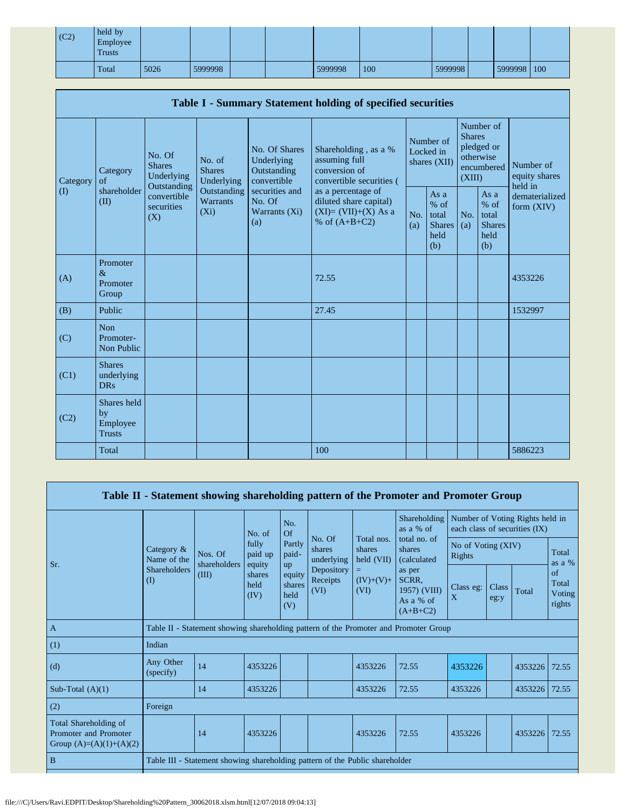| (C2) | held by<br>Employee<br>Trusts |      |         |  |         |     |         |             |  |
|------|-------------------------------|------|---------|--|---------|-----|---------|-------------|--|
|      | Total                         | 5026 | 5999998 |  | 5999998 | 100 | 5999998 | 5999998 100 |  |

| Table I - Summary Statement holding of specified securities |                                                |                                                                                          |                                                                             |                                                                                                               |                                                                                          |                                        |                                                         |                                                                               |                                                       |                                       |  |  |
|-------------------------------------------------------------|------------------------------------------------|------------------------------------------------------------------------------------------|-----------------------------------------------------------------------------|---------------------------------------------------------------------------------------------------------------|------------------------------------------------------------------------------------------|----------------------------------------|---------------------------------------------------------|-------------------------------------------------------------------------------|-------------------------------------------------------|---------------------------------------|--|--|
| Category<br>$\rm (I)$                                       | Category<br>of<br>shareholder<br>(II)          | No. Of<br><b>Shares</b><br>Underlying<br>Outstanding<br>convertible<br>securities<br>(X) | No. of<br><b>Shares</b><br>Underlying<br>Outstanding<br>Warrants<br>$(X_i)$ | No. Of Shares<br>Underlying<br>Outstanding<br>convertible<br>securities and<br>No. Of<br>Warrants (Xi)<br>(a) | Shareholding, as a %<br>assuming full<br>conversion of<br>convertible securities (       | Number of<br>Locked in<br>shares (XII) |                                                         | Number of<br><b>Shares</b><br>pledged or<br>otherwise<br>encumbered<br>(XIII) |                                                       | Number of<br>equity shares<br>held in |  |  |
|                                                             |                                                |                                                                                          |                                                                             |                                                                                                               | as a percentage of<br>diluted share capital)<br>$(XI)=(VII)+(X)$ As a<br>% of $(A+B+C2)$ | No.<br>(a)                             | As a<br>$%$ of<br>total<br><b>Shares</b><br>held<br>(b) | No.<br>(a)                                                                    | As a<br>% of<br>total<br><b>Shares</b><br>held<br>(b) | dematerialized<br>form $(XIV)$        |  |  |
| (A)                                                         | Promoter<br>$\&$<br>Promoter<br>Group          |                                                                                          |                                                                             |                                                                                                               | 72.55                                                                                    |                                        |                                                         |                                                                               |                                                       | 4353226                               |  |  |
| (B)                                                         | Public                                         |                                                                                          |                                                                             |                                                                                                               | 27.45                                                                                    |                                        |                                                         |                                                                               |                                                       | 1532997                               |  |  |
| (C)                                                         | <b>Non</b><br>Promoter-<br>Non Public          |                                                                                          |                                                                             |                                                                                                               |                                                                                          |                                        |                                                         |                                                                               |                                                       |                                       |  |  |
| (C1)                                                        | <b>Shares</b><br>underlying<br><b>DRs</b>      |                                                                                          |                                                                             |                                                                                                               |                                                                                          |                                        |                                                         |                                                                               |                                                       |                                       |  |  |
| (C2)                                                        | Shares held<br>by<br>Employee<br><b>Trusts</b> |                                                                                          |                                                                             |                                                                                                               |                                                                                          |                                        |                                                         |                                                                               |                                                       |                                       |  |  |
|                                                             | Total                                          |                                                                                          |                                                                             |                                                                                                               | 100                                                                                      |                                        |                                                         |                                                                               |                                                       | 5886223                               |  |  |

|                                                                             |                               |                                                                                      |                            |                                 |                                |                                                           | Table II - Statement showing shareholding pattern of the Promoter and Promoter Group                 |                                 |               |                               |                                 |  |
|-----------------------------------------------------------------------------|-------------------------------|--------------------------------------------------------------------------------------|----------------------------|---------------------------------|--------------------------------|-----------------------------------------------------------|------------------------------------------------------------------------------------------------------|---------------------------------|---------------|-------------------------------|---------------------------------|--|
|                                                                             |                               |                                                                                      | No. of                     | No.<br>Of                       |                                |                                                           | Shareholding<br>as a % of                                                                            | Number of Voting Rights held in |               | each class of securities (IX) |                                 |  |
| Sr.                                                                         | Category &<br>Name of the     | Nos. Of<br>shareholders<br>(III)                                                     | fully<br>paid up<br>equity | Partly<br>paid-<br>up           | No. Of<br>shares<br>underlying | Total nos.<br>shares<br>held (VII)<br>$(IV)+(V)+$<br>(VI) | total no. of<br>shares<br>(calculated)<br>as per<br>SCRR,<br>1957) (VIII)<br>As a % of<br>$(A+B+C2)$ | No of Voting (XIV)<br>Rights    |               |                               | Total<br>as a $%$               |  |
|                                                                             | <b>Shareholders</b><br>$($ I) |                                                                                      | shares<br>held<br>(IV)     | equity<br>shares<br>held<br>(V) | Depository<br>Receipts<br>(VI) |                                                           |                                                                                                      | Class eg:<br>X                  | Class<br>eg:y | Total                         | of<br>Total<br>Voting<br>rights |  |
| $\overline{A}$                                                              |                               | Table II - Statement showing shareholding pattern of the Promoter and Promoter Group |                            |                                 |                                |                                                           |                                                                                                      |                                 |               |                               |                                 |  |
| (1)                                                                         | Indian                        |                                                                                      |                            |                                 |                                |                                                           |                                                                                                      |                                 |               |                               |                                 |  |
| (d)                                                                         | Any Other<br>(specify)        | 14                                                                                   | 4353226                    |                                 |                                | 4353226                                                   | 72.55                                                                                                | 4353226                         |               | 4353226                       | 72.55                           |  |
| Sub-Total $(A)(1)$                                                          |                               | 14                                                                                   | 4353226                    |                                 |                                | 4353226                                                   | 72.55                                                                                                | 4353226                         |               | 4353226                       | 72.55                           |  |
| (2)                                                                         | Foreign                       |                                                                                      |                            |                                 |                                |                                                           |                                                                                                      |                                 |               |                               |                                 |  |
| Total Shareholding of<br>Promoter and Promoter<br>Group $(A)=(A)(1)+(A)(2)$ |                               | 14                                                                                   | 4353226                    |                                 |                                | 4353226                                                   | 72.55                                                                                                | 4353226                         |               | 4353226                       | 72.55                           |  |
| $\mathbf B$                                                                 |                               | Table III - Statement showing shareholding pattern of the Public shareholder         |                            |                                 |                                |                                                           |                                                                                                      |                                 |               |                               |                                 |  |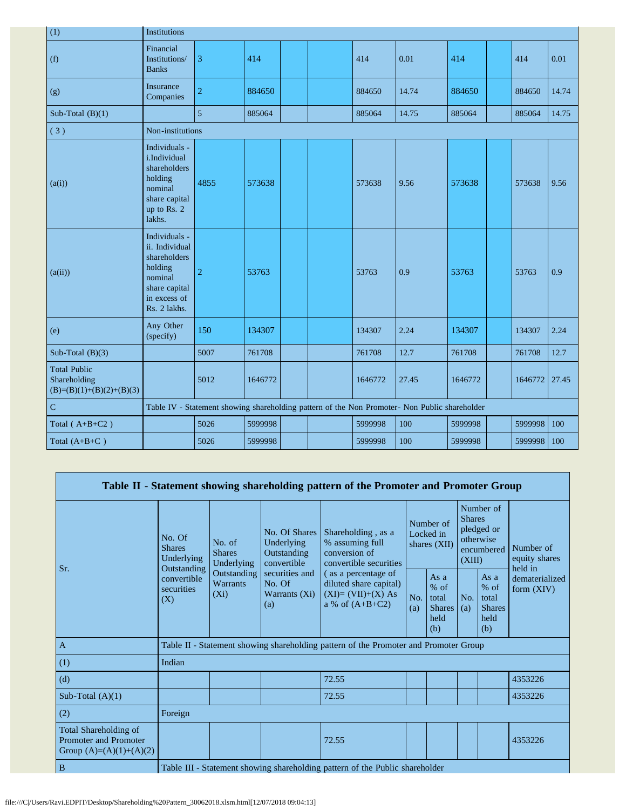| (1)                                                               | Institutions                                                                                                           |                |         |  |  |         |                                                                                               |         |  |         |       |
|-------------------------------------------------------------------|------------------------------------------------------------------------------------------------------------------------|----------------|---------|--|--|---------|-----------------------------------------------------------------------------------------------|---------|--|---------|-------|
| (f)                                                               | Financial<br>Institutions/<br><b>Banks</b>                                                                             | 3              | 414     |  |  | 414     | 0.01                                                                                          | 414     |  | 414     | 0.01  |
| (g)                                                               | Insurance<br>Companies                                                                                                 | $\overline{2}$ | 884650  |  |  | 884650  | 14.74                                                                                         | 884650  |  | 884650  | 14.74 |
| Sub-Total $(B)(1)$                                                |                                                                                                                        | 5              | 885064  |  |  | 885064  | 14.75                                                                                         | 885064  |  | 885064  | 14.75 |
| (3)                                                               | Non-institutions                                                                                                       |                |         |  |  |         |                                                                                               |         |  |         |       |
| (a(i))                                                            | Individuals -<br>i.Individual<br>shareholders<br>holding<br>nominal<br>share capital<br>up to Rs. 2<br>lakhs.          | 4855           | 573638  |  |  | 573638  | 9.56                                                                                          | 573638  |  | 573638  | 9.56  |
| (a(ii))                                                           | Individuals -<br>ii. Individual<br>shareholders<br>holding<br>nominal<br>share capital<br>in excess of<br>Rs. 2 lakhs. | $\overline{2}$ | 53763   |  |  | 53763   | 0.9                                                                                           | 53763   |  | 53763   | 0.9   |
| (e)                                                               | Any Other<br>(specify)                                                                                                 | 150            | 134307  |  |  | 134307  | 2.24                                                                                          | 134307  |  | 134307  | 2.24  |
| Sub-Total $(B)(3)$                                                |                                                                                                                        | 5007           | 761708  |  |  | 761708  | 12.7                                                                                          | 761708  |  | 761708  | 12.7  |
| <b>Total Public</b><br>Shareholding<br>$(B)=(B)(1)+(B)(2)+(B)(3)$ |                                                                                                                        | 5012           | 1646772 |  |  | 1646772 | 27.45                                                                                         | 1646772 |  | 1646772 | 27.45 |
| $\overline{C}$                                                    |                                                                                                                        |                |         |  |  |         | Table IV - Statement showing shareholding pattern of the Non Promoter- Non Public shareholder |         |  |         |       |
| Total $(A+B+C2)$                                                  |                                                                                                                        | 5026           | 5999998 |  |  | 5999998 | 100                                                                                           | 5999998 |  | 5999998 | 100   |
| Total $(A+B+C)$                                                   |                                                                                                                        | 5026           | 5999998 |  |  | 5999998 | 100                                                                                           | 5999998 |  | 5999998 | 100   |

|     |                                                                                    |                                       |                                                           |                                                                                  | Table II - Statement showing shareholding pattern of the Promoter and Promoter Group      |            |                                                                               |            |                                                           |                                |  |
|-----|------------------------------------------------------------------------------------|---------------------------------------|-----------------------------------------------------------|----------------------------------------------------------------------------------|-------------------------------------------------------------------------------------------|------------|-------------------------------------------------------------------------------|------------|-----------------------------------------------------------|--------------------------------|--|
| Sr. | No. Of<br><b>Shares</b><br>Underlying<br>Outstanding                               | No. of<br><b>Shares</b><br>Underlying | No. Of Shares<br>Underlying<br>Outstanding<br>convertible | Shareholding, as a<br>% assuming full<br>conversion of<br>convertible securities | Number of<br>Locked in<br>shares (XII)                                                    |            | Number of<br><b>Shares</b><br>pledged or<br>otherwise<br>encumbered<br>(XIII) |            | Number of<br>equity shares<br>held in                     |                                |  |
|     |                                                                                    | convertible<br>securities<br>(X)      | Outstanding<br><b>Warrants</b><br>$(X_i)$                 | securities and<br>No. Of<br>Warrants (Xi)<br>(a)                                 | (as a percentage of<br>diluted share capital)<br>$(XI)=(VII)+(X) As$<br>a % of $(A+B+C2)$ | No.<br>(a) | As $a$<br>$%$ of<br>total<br><b>Shares</b><br>held<br>(b)                     | No.<br>(a) | As $a$<br>$%$ of<br>total<br><b>Shares</b><br>held<br>(b) | dematerialized<br>form $(XIV)$ |  |
|     | $\mathbf{A}$                                                                       |                                       |                                                           |                                                                                  | Table II - Statement showing shareholding pattern of the Promoter and Promoter Group      |            |                                                                               |            |                                                           |                                |  |
|     | (1)                                                                                | Indian                                |                                                           |                                                                                  |                                                                                           |            |                                                                               |            |                                                           |                                |  |
|     | (d)                                                                                |                                       |                                                           |                                                                                  | 72.55                                                                                     |            |                                                                               |            |                                                           | 4353226                        |  |
|     | Sub-Total $(A)(1)$                                                                 |                                       |                                                           |                                                                                  | 72.55                                                                                     |            |                                                                               |            |                                                           | 4353226                        |  |
|     | (2)                                                                                | Foreign                               |                                                           |                                                                                  |                                                                                           |            |                                                                               |            |                                                           |                                |  |
|     | Total Shareholding of<br><b>Promoter and Promoter</b><br>Group $(A)=(A)(1)+(A)(2)$ |                                       |                                                           |                                                                                  | 72.55                                                                                     |            |                                                                               |            |                                                           | 4353226                        |  |
|     | B                                                                                  |                                       |                                                           |                                                                                  | Table III - Statement showing shareholding pattern of the Public shareholder              |            |                                                                               |            |                                                           |                                |  |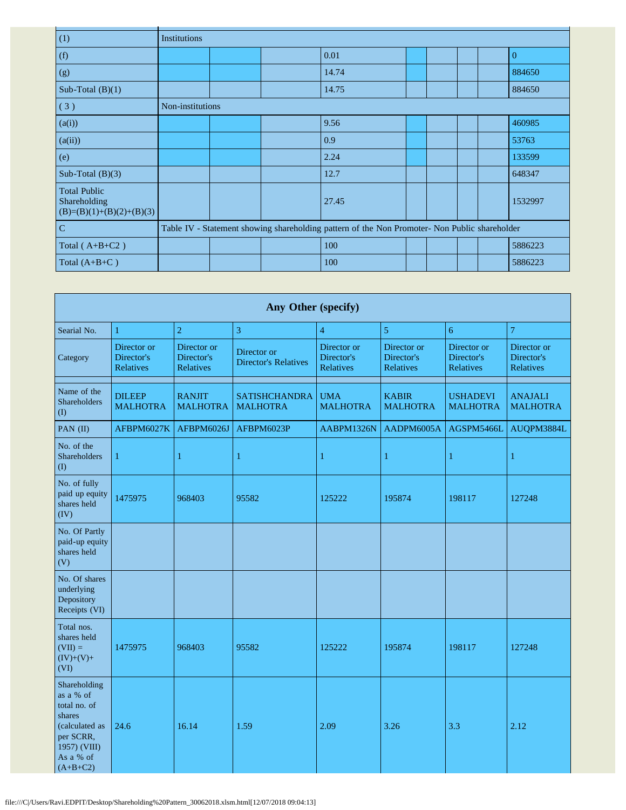| (1)                                                               | Institutions     |  |                                                                                               |  |  |          |
|-------------------------------------------------------------------|------------------|--|-----------------------------------------------------------------------------------------------|--|--|----------|
| (f)                                                               |                  |  | 0.01                                                                                          |  |  | $\Omega$ |
| (g)                                                               |                  |  | 14.74                                                                                         |  |  | 884650   |
| Sub-Total $(B)(1)$                                                |                  |  | 14.75                                                                                         |  |  | 884650   |
| (3)                                                               | Non-institutions |  |                                                                                               |  |  |          |
| (a(i))                                                            |                  |  | 9.56                                                                                          |  |  | 460985   |
| (a(ii))                                                           |                  |  | 0.9                                                                                           |  |  | 53763    |
| (e)                                                               |                  |  | 2.24                                                                                          |  |  | 133599   |
| Sub-Total $(B)(3)$                                                |                  |  | 12.7                                                                                          |  |  | 648347   |
| <b>Total Public</b><br>Shareholding<br>$(B)=(B)(1)+(B)(2)+(B)(3)$ |                  |  | 27.45                                                                                         |  |  | 1532997  |
| $\mathbf C$                                                       |                  |  | Table IV - Statement showing shareholding pattern of the Non Promoter- Non Public shareholder |  |  |          |
| Total $(A+B+C2)$                                                  |                  |  | 100                                                                                           |  |  | 5886223  |
| Total $(A+B+C)$                                                   |                  |  | 100                                                                                           |  |  | 5886223  |

| Any Other (specify)                                                                                                           |                                        |                                        |                                            |                                        |                                        |                                        |                                        |  |  |  |  |  |
|-------------------------------------------------------------------------------------------------------------------------------|----------------------------------------|----------------------------------------|--------------------------------------------|----------------------------------------|----------------------------------------|----------------------------------------|----------------------------------------|--|--|--|--|--|
| Searial No.                                                                                                                   | 1                                      | $\overline{2}$                         | 3                                          | $\overline{4}$                         | 5                                      | 6                                      | 7                                      |  |  |  |  |  |
| Category                                                                                                                      | Director or<br>Director's<br>Relatives | Director or<br>Director's<br>Relatives | Director or<br><b>Director's Relatives</b> | Director or<br>Director's<br>Relatives | Director or<br>Director's<br>Relatives | Director or<br>Director's<br>Relatives | Director or<br>Director's<br>Relatives |  |  |  |  |  |
| Name of the<br>Shareholders<br>(1)                                                                                            | <b>DILEEP</b><br><b>MALHOTRA</b>       | <b>RANJIT</b><br><b>MALHOTRA</b>       | <b>SATISHCHANDRA</b><br><b>MALHOTRA</b>    | <b>UMA</b><br><b>MALHOTRA</b>          | <b>KABIR</b><br><b>MALHOTRA</b>        | <b>USHADEVI</b><br><b>MALHOTRA</b>     | <b>ANAJALI</b><br><b>MALHOTRA</b>      |  |  |  |  |  |
| PAN (II)                                                                                                                      | AFBPM6027K                             | AFBPM6026J                             | AFBPM6023P                                 | AABPM1326N                             | AADPM6005A                             | AGSPM5466L                             | AUQPM3884L                             |  |  |  |  |  |
| No. of the<br><b>Shareholders</b><br>(I)                                                                                      | $\mathbf{1}$                           | $\mathbf{1}$                           | $\mathbf{1}$                               | $\mathbf{1}$                           | 1                                      | 1                                      | $\mathbf{1}$                           |  |  |  |  |  |
| No. of fully<br>paid up equity<br>shares held<br>(IV)                                                                         | 1475975                                | 968403                                 | 95582                                      | 125222                                 | 195874                                 | 198117                                 | 127248                                 |  |  |  |  |  |
| No. Of Partly<br>paid-up equity<br>shares held<br>(V)                                                                         |                                        |                                        |                                            |                                        |                                        |                                        |                                        |  |  |  |  |  |
| No. Of shares<br>underlying<br>Depository<br>Receipts (VI)                                                                    |                                        |                                        |                                            |                                        |                                        |                                        |                                        |  |  |  |  |  |
| Total nos.<br>shares held<br>$(VII) =$<br>$(IV)+(V)+$<br>(VI)                                                                 | 1475975                                | 968403                                 | 95582                                      | 125222                                 | 195874                                 | 198117                                 | 127248                                 |  |  |  |  |  |
| Shareholding<br>as a % of<br>total no. of<br>shares<br>(calculated as<br>per SCRR,<br>1957) (VIII)<br>As a % of<br>$(A+B+C2)$ | 24.6                                   | 16.14                                  | 1.59                                       | 2.09                                   | 3.26                                   | 3.3                                    | 2.12                                   |  |  |  |  |  |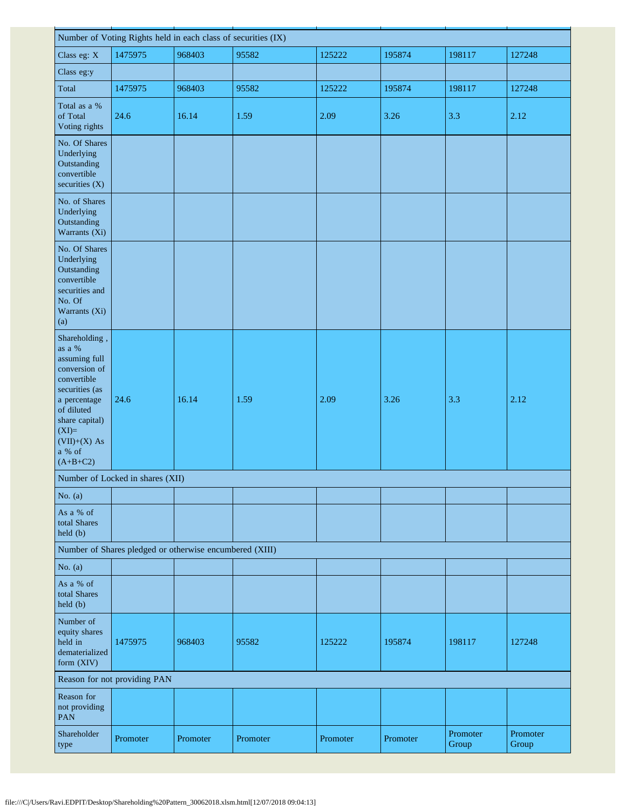| Number of Voting Rights held in each class of securities (IX)                                                                                                                                   |                                                         |          |          |          |          |                   |                   |  |  |  |  |
|-------------------------------------------------------------------------------------------------------------------------------------------------------------------------------------------------|---------------------------------------------------------|----------|----------|----------|----------|-------------------|-------------------|--|--|--|--|
| Class eg: X                                                                                                                                                                                     | 1475975                                                 | 968403   | 95582    | 125222   | 195874   | 198117            | 127248            |  |  |  |  |
| Class eg:y                                                                                                                                                                                      |                                                         |          |          |          |          |                   |                   |  |  |  |  |
| Total                                                                                                                                                                                           | 1475975                                                 | 968403   | 95582    | 125222   | 195874   | 198117            | 127248            |  |  |  |  |
| Total as a %<br>of Total<br>Voting rights                                                                                                                                                       | 24.6                                                    | 16.14    | 1.59     | 2.09     | 3.26     | 3.3               | 2.12              |  |  |  |  |
| No. Of Shares<br>Underlying<br>Outstanding<br>convertible<br>securities (X)                                                                                                                     |                                                         |          |          |          |          |                   |                   |  |  |  |  |
| No. of Shares<br>Underlying<br>Outstanding<br>Warrants (Xi)                                                                                                                                     |                                                         |          |          |          |          |                   |                   |  |  |  |  |
| No. Of Shares<br>Underlying<br>Outstanding<br>convertible<br>securities and<br>No. Of<br>Warrants (Xi)<br>(a)                                                                                   |                                                         |          |          |          |          |                   |                   |  |  |  |  |
| Shareholding,<br>as a %<br>assuming full<br>conversion of<br>convertible<br>securities (as<br>a percentage<br>of diluted<br>share capital)<br>$(XI)=$<br>$(VII)+(X)$ As<br>a % of<br>$(A+B+C2)$ | 24.6                                                    | 16.14    | 1.59     | 2.09     | 3.26     | 3.3               | 2.12              |  |  |  |  |
|                                                                                                                                                                                                 | Number of Locked in shares (XII)                        |          |          |          |          |                   |                   |  |  |  |  |
| No. $(a)$                                                                                                                                                                                       |                                                         |          |          |          |          |                   |                   |  |  |  |  |
| As a % of<br>total Shares<br>held(b)                                                                                                                                                            |                                                         |          |          |          |          |                   |                   |  |  |  |  |
|                                                                                                                                                                                                 | Number of Shares pledged or otherwise encumbered (XIII) |          |          |          |          |                   |                   |  |  |  |  |
| No. $(a)$                                                                                                                                                                                       |                                                         |          |          |          |          |                   |                   |  |  |  |  |
| As a % of<br>total Shares<br>held (b)                                                                                                                                                           |                                                         |          |          |          |          |                   |                   |  |  |  |  |
| Number of<br>equity shares<br>held in<br>dematerialized<br>form (XIV)                                                                                                                           | 1475975                                                 | 968403   | 95582    | 125222   | 195874   | 198117            | 127248            |  |  |  |  |
|                                                                                                                                                                                                 | Reason for not providing PAN                            |          |          |          |          |                   |                   |  |  |  |  |
| Reason for<br>not providing<br><b>PAN</b>                                                                                                                                                       |                                                         |          |          |          |          |                   |                   |  |  |  |  |
| Shareholder<br>type                                                                                                                                                                             | Promoter                                                | Promoter | Promoter | Promoter | Promoter | Promoter<br>Group | Promoter<br>Group |  |  |  |  |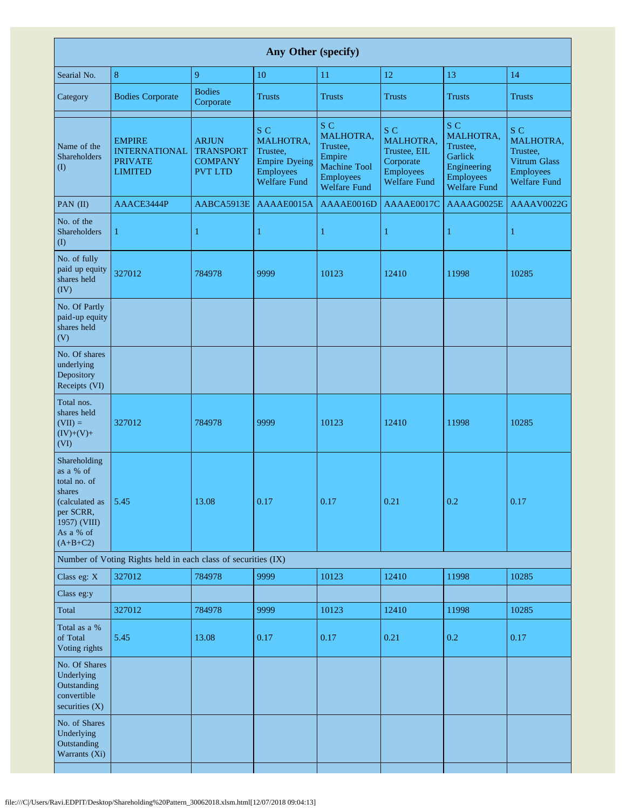| Any Other (specify)                                                                                                           |                                                                           |                                                                      |                                                                                                        |                                                                                                          |                                                                                          |                                                                                                   |                                                                                                |  |  |  |  |  |
|-------------------------------------------------------------------------------------------------------------------------------|---------------------------------------------------------------------------|----------------------------------------------------------------------|--------------------------------------------------------------------------------------------------------|----------------------------------------------------------------------------------------------------------|------------------------------------------------------------------------------------------|---------------------------------------------------------------------------------------------------|------------------------------------------------------------------------------------------------|--|--|--|--|--|
| Searial No.                                                                                                                   | $\,8\,$                                                                   | 9                                                                    | 10                                                                                                     | 11                                                                                                       | 12                                                                                       | 13                                                                                                | 14                                                                                             |  |  |  |  |  |
| Category                                                                                                                      | <b>Bodies Corporate</b>                                                   | <b>Bodies</b><br>Corporate                                           | <b>Trusts</b>                                                                                          | <b>Trusts</b>                                                                                            | <b>Trusts</b>                                                                            | <b>Trusts</b>                                                                                     | <b>Trusts</b>                                                                                  |  |  |  |  |  |
| Name of the<br><b>Shareholders</b><br>(1)                                                                                     | <b>EMPIRE</b><br><b>INTERNATIONAL</b><br><b>PRIVATE</b><br><b>LIMITED</b> | <b>ARJUN</b><br><b>TRANSPORT</b><br><b>COMPANY</b><br><b>PVT LTD</b> | S C<br><b>MALHOTRA,</b><br>Trustee,<br><b>Empire Dyeing</b><br><b>Employees</b><br><b>Welfare Fund</b> | S C<br>MALHOTRA,<br>Trustee,<br>Empire<br><b>Machine Tool</b><br><b>Employees</b><br><b>Welfare Fund</b> | S C<br>MALHOTRA,<br>Trustee, EIL<br>Corporate<br><b>Employees</b><br><b>Welfare Fund</b> | S C<br>MALHOTRA,<br>Trustee,<br>Garlick<br>Engineering<br><b>Employees</b><br><b>Welfare Fund</b> | S C<br><b>MALHOTRA.</b><br>Trustee,<br>Vitrum Glass<br><b>Employees</b><br><b>Welfare Fund</b> |  |  |  |  |  |
| PAN (II)                                                                                                                      | AAACE3444P                                                                | AABCA5913E                                                           | AAAAE0015A                                                                                             | AAAAE0016D                                                                                               | AAAAE0017C                                                                               | AAAAG0025E                                                                                        | AAAAV0022G                                                                                     |  |  |  |  |  |
| No. of the<br><b>Shareholders</b><br>$\rm (I)$                                                                                | $\mathbf{1}$                                                              | $\mathbf{1}$                                                         | $\mathbf{1}$                                                                                           | 1                                                                                                        | $\mathbf{1}$                                                                             | 1                                                                                                 | 1                                                                                              |  |  |  |  |  |
| No. of fully<br>paid up equity<br>shares held<br>$(\overline{IV})$                                                            | 327012                                                                    | 784978                                                               | 9999                                                                                                   | 10123                                                                                                    | 12410                                                                                    | 11998                                                                                             | 10285                                                                                          |  |  |  |  |  |
| No. Of Partly<br>paid-up equity<br>shares held<br>(V)                                                                         |                                                                           |                                                                      |                                                                                                        |                                                                                                          |                                                                                          |                                                                                                   |                                                                                                |  |  |  |  |  |
| No. Of shares<br>underlying<br>Depository<br>Receipts (VI)                                                                    |                                                                           |                                                                      |                                                                                                        |                                                                                                          |                                                                                          |                                                                                                   |                                                                                                |  |  |  |  |  |
| Total nos.<br>shares held<br>$(VII) =$<br>$(IV)+(V)+$<br>(VI)                                                                 | 327012                                                                    | 784978                                                               | 9999                                                                                                   | 10123                                                                                                    | 12410                                                                                    | 11998                                                                                             | 10285                                                                                          |  |  |  |  |  |
| Shareholding<br>as a % of<br>total no. of<br>shares<br>(calculated as<br>per SCRR,<br>1957) (VIII)<br>As a % of<br>$(A+B+C2)$ | 5.45                                                                      | 13.08                                                                | 0.17                                                                                                   | 0.17                                                                                                     | 0.21                                                                                     | 0.2                                                                                               | 0.17                                                                                           |  |  |  |  |  |
|                                                                                                                               | Number of Voting Rights held in each class of securities (IX)             |                                                                      |                                                                                                        |                                                                                                          |                                                                                          |                                                                                                   |                                                                                                |  |  |  |  |  |
| Class eg: X                                                                                                                   | 327012                                                                    | 784978                                                               | 9999                                                                                                   | 10123                                                                                                    | 12410                                                                                    | 11998                                                                                             | 10285                                                                                          |  |  |  |  |  |
| Class eg:y                                                                                                                    |                                                                           |                                                                      |                                                                                                        |                                                                                                          |                                                                                          |                                                                                                   |                                                                                                |  |  |  |  |  |
| Total                                                                                                                         | 327012                                                                    | 784978                                                               | 9999                                                                                                   | 10123                                                                                                    | 12410                                                                                    | 11998                                                                                             | 10285                                                                                          |  |  |  |  |  |
| Total as a %<br>of Total<br>Voting rights                                                                                     | 5.45                                                                      | 13.08                                                                | 0.17                                                                                                   | 0.17                                                                                                     | 0.21                                                                                     | 0.2                                                                                               | 0.17                                                                                           |  |  |  |  |  |
| No. Of Shares<br>Underlying<br>Outstanding<br>convertible<br>securities $(X)$                                                 |                                                                           |                                                                      |                                                                                                        |                                                                                                          |                                                                                          |                                                                                                   |                                                                                                |  |  |  |  |  |
| No. of Shares<br>Underlying<br>Outstanding<br>Warrants (Xi)                                                                   |                                                                           |                                                                      |                                                                                                        |                                                                                                          |                                                                                          |                                                                                                   |                                                                                                |  |  |  |  |  |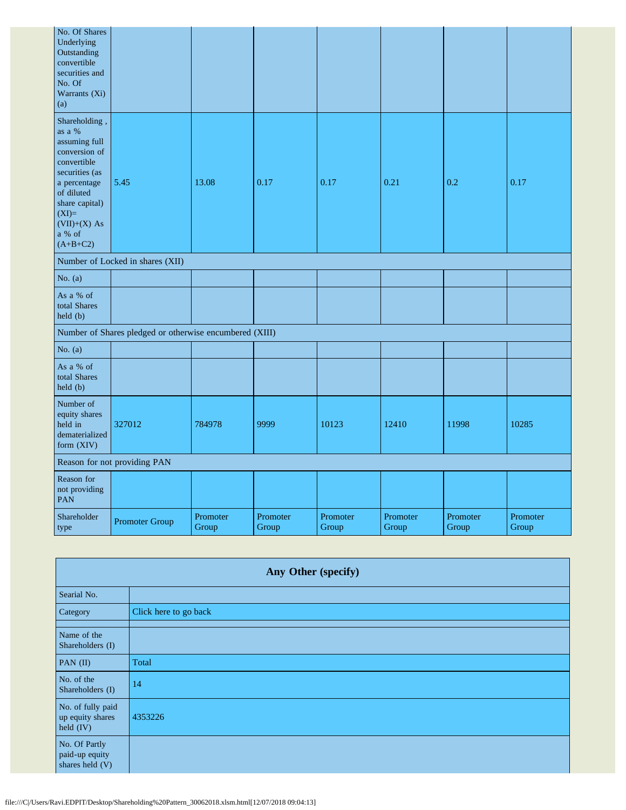| No. Of Shares<br>Underlying<br>Outstanding<br>convertible<br>securities and<br>No. Of<br>Warrants (Xi)<br>(a)                                                                                   |                                                         |                   |                   |                   |                   |                   |                   |
|-------------------------------------------------------------------------------------------------------------------------------------------------------------------------------------------------|---------------------------------------------------------|-------------------|-------------------|-------------------|-------------------|-------------------|-------------------|
| Shareholding,<br>as a %<br>assuming full<br>conversion of<br>convertible<br>securities (as<br>a percentage<br>of diluted<br>share capital)<br>$(XI)=$<br>$(VII)+(X)$ As<br>a % of<br>$(A+B+C2)$ | 5.45                                                    | 13.08             | 0.17              | 0.17              | 0.21              | 0.2               | 0.17              |
|                                                                                                                                                                                                 | Number of Locked in shares (XII)                        |                   |                   |                   |                   |                   |                   |
| No. $(a)$                                                                                                                                                                                       |                                                         |                   |                   |                   |                   |                   |                   |
| As a % of<br>total Shares<br>held(b)                                                                                                                                                            |                                                         |                   |                   |                   |                   |                   |                   |
|                                                                                                                                                                                                 | Number of Shares pledged or otherwise encumbered (XIII) |                   |                   |                   |                   |                   |                   |
| No. $(a)$                                                                                                                                                                                       |                                                         |                   |                   |                   |                   |                   |                   |
| As a % of<br>total Shares<br>held (b)                                                                                                                                                           |                                                         |                   |                   |                   |                   |                   |                   |
| Number of<br>equity shares<br>held in<br>dematerialized<br>form (XIV)                                                                                                                           | 327012                                                  | 784978            | 9999              | 10123             | 12410             | 11998             | 10285             |
| Reason for not providing PAN                                                                                                                                                                    |                                                         |                   |                   |                   |                   |                   |                   |
| Reason for<br>not providing<br>PAN                                                                                                                                                              |                                                         |                   |                   |                   |                   |                   |                   |
| Shareholder<br>type                                                                                                                                                                             | Promoter Group                                          | Promoter<br>Group | Promoter<br>Group | Promoter<br>Group | Promoter<br>Group | Promoter<br>Group | Promoter<br>Group |

| Any Other (specify)                                |                       |  |  |  |
|----------------------------------------------------|-----------------------|--|--|--|
| Searial No.                                        |                       |  |  |  |
| Category                                           | Click here to go back |  |  |  |
| Name of the<br>Shareholders (I)                    |                       |  |  |  |
| PAN $(II)$                                         | Total                 |  |  |  |
| No. of the<br>Shareholders (I)                     | 14                    |  |  |  |
| No. of fully paid<br>up equity shares<br>held (IV) | 4353226               |  |  |  |
| No. Of Partly<br>paid-up equity<br>shares held (V) |                       |  |  |  |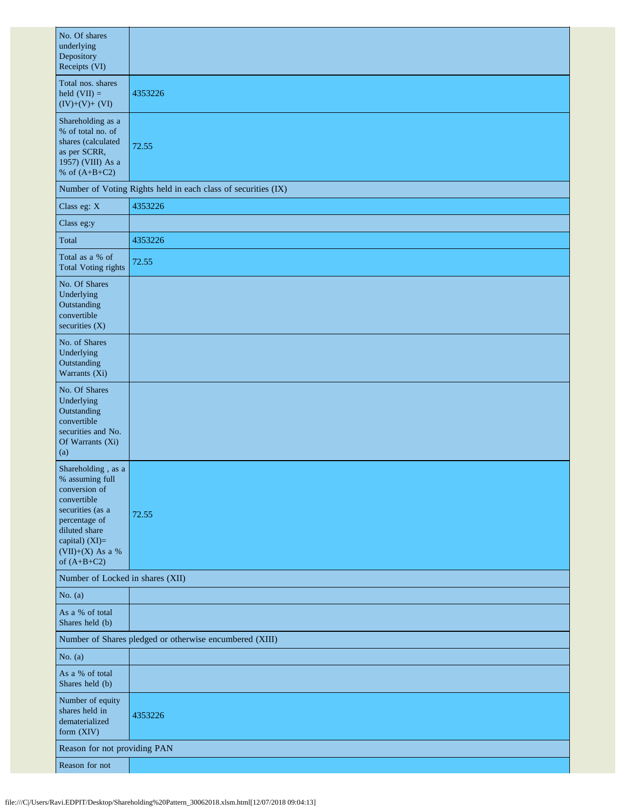| No. Of shares<br>underlying<br>Depository<br>Receipts (VI)                                                                                                                           |                                                               |  |  |  |  |  |
|--------------------------------------------------------------------------------------------------------------------------------------------------------------------------------------|---------------------------------------------------------------|--|--|--|--|--|
| Total nos. shares<br>held $(VII) =$<br>$(IV)+(V)+(VI)$                                                                                                                               | 4353226                                                       |  |  |  |  |  |
| Shareholding as a<br>% of total no. of<br>shares (calculated<br>as per SCRR,<br>1957) (VIII) As a<br>% of $(A+B+C2)$                                                                 | 72.55                                                         |  |  |  |  |  |
|                                                                                                                                                                                      | Number of Voting Rights held in each class of securities (IX) |  |  |  |  |  |
| Class eg: X                                                                                                                                                                          | 4353226                                                       |  |  |  |  |  |
| Class eg:y                                                                                                                                                                           |                                                               |  |  |  |  |  |
| Total                                                                                                                                                                                | 4353226                                                       |  |  |  |  |  |
| Total as a % of<br><b>Total Voting rights</b>                                                                                                                                        | 72.55                                                         |  |  |  |  |  |
| No. Of Shares<br>Underlying<br>Outstanding<br>convertible<br>securities $(X)$                                                                                                        |                                                               |  |  |  |  |  |
| No. of Shares<br>Underlying<br>Outstanding<br>Warrants (Xi)                                                                                                                          |                                                               |  |  |  |  |  |
| No. Of Shares<br>Underlying<br>Outstanding<br>convertible<br>securities and No.<br>Of Warrants (Xi)<br>(a)                                                                           |                                                               |  |  |  |  |  |
| Shareholding, as a<br>% assuming full<br>conversion of<br>convertible<br>securities (as a<br>percentage of<br>diluted share<br>capital) (XI)=<br>$(VII)+(X)$ As a %<br>of $(A+B+C2)$ | 72.55                                                         |  |  |  |  |  |
| Number of Locked in shares (XII)                                                                                                                                                     |                                                               |  |  |  |  |  |
| No. $(a)$                                                                                                                                                                            |                                                               |  |  |  |  |  |
| As a % of total<br>Shares held (b)                                                                                                                                                   |                                                               |  |  |  |  |  |
|                                                                                                                                                                                      | Number of Shares pledged or otherwise encumbered (XIII)       |  |  |  |  |  |
| No. $(a)$                                                                                                                                                                            |                                                               |  |  |  |  |  |
| As a % of total<br>Shares held (b)                                                                                                                                                   |                                                               |  |  |  |  |  |
| Number of equity<br>shares held in<br>dematerialized<br>form (XIV)                                                                                                                   | 4353226                                                       |  |  |  |  |  |
| Reason for not providing PAN                                                                                                                                                         |                                                               |  |  |  |  |  |
| Reason for not                                                                                                                                                                       |                                                               |  |  |  |  |  |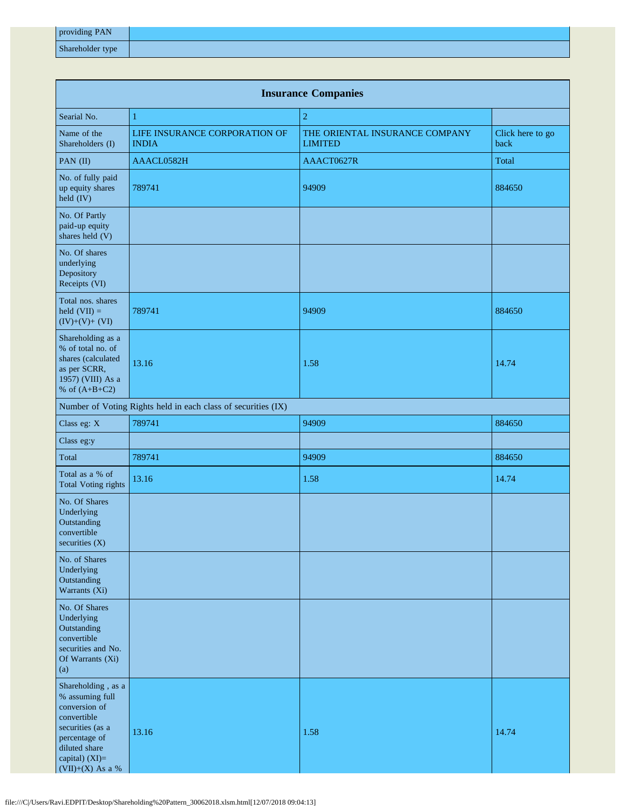| providing PAN    |  |
|------------------|--|
| Shareholder type |  |

| <b>Insurance Companies</b>                                                                                                                                        |                                                               |                                                  |                          |  |  |  |
|-------------------------------------------------------------------------------------------------------------------------------------------------------------------|---------------------------------------------------------------|--------------------------------------------------|--------------------------|--|--|--|
| Searial No.                                                                                                                                                       | $\mathbf{1}$                                                  | $\overline{2}$                                   |                          |  |  |  |
| Name of the<br>Shareholders (I)                                                                                                                                   | LIFE INSURANCE CORPORATION OF<br><b>INDIA</b>                 | THE ORIENTAL INSURANCE COMPANY<br><b>LIMITED</b> | Click here to go<br>back |  |  |  |
| PAN (II)                                                                                                                                                          | AAACL0582H                                                    | AAACT0627R                                       | Total                    |  |  |  |
| No. of fully paid<br>up equity shares<br>held (IV)                                                                                                                | 789741                                                        | 94909                                            | 884650                   |  |  |  |
| No. Of Partly<br>paid-up equity<br>shares held (V)                                                                                                                |                                                               |                                                  |                          |  |  |  |
| No. Of shares<br>underlying<br>Depository<br>Receipts (VI)                                                                                                        |                                                               |                                                  |                          |  |  |  |
| Total nos. shares<br>held $(VII) =$<br>$(IV)+(V)+(VI)$                                                                                                            | 789741                                                        | 94909                                            | 884650                   |  |  |  |
| Shareholding as a<br>% of total no. of<br>shares (calculated<br>as per SCRR,<br>1957) (VIII) As a<br>% of $(A+B+C2)$                                              | 13.16                                                         | 1.58                                             | 14.74                    |  |  |  |
|                                                                                                                                                                   | Number of Voting Rights held in each class of securities (IX) |                                                  |                          |  |  |  |
| Class eg: X                                                                                                                                                       | 789741                                                        | 94909                                            | 884650                   |  |  |  |
| Class eg:y                                                                                                                                                        |                                                               |                                                  |                          |  |  |  |
| Total                                                                                                                                                             | 789741                                                        | 94909                                            | 884650                   |  |  |  |
| Total as a % of<br><b>Total Voting rights</b>                                                                                                                     | 13.16                                                         | 1.58                                             | 14.74                    |  |  |  |
| No. Of Shares<br>Underlying<br>Outstanding<br>convertible<br>securities (X)                                                                                       |                                                               |                                                  |                          |  |  |  |
| No. of Shares<br>Underlying<br>Outstanding<br>Warrants (Xi)                                                                                                       |                                                               |                                                  |                          |  |  |  |
| No. Of Shares<br>Underlying<br>Outstanding<br>convertible<br>securities and No.<br>Of Warrants (Xi)<br>(a)                                                        |                                                               |                                                  |                          |  |  |  |
| Shareholding, as a<br>% assuming full<br>conversion of<br>convertible<br>securities (as a<br>percentage of<br>diluted share<br>capital) (XI)=<br>(VII)+(X) As a % | 13.16                                                         | 1.58                                             | 14.74                    |  |  |  |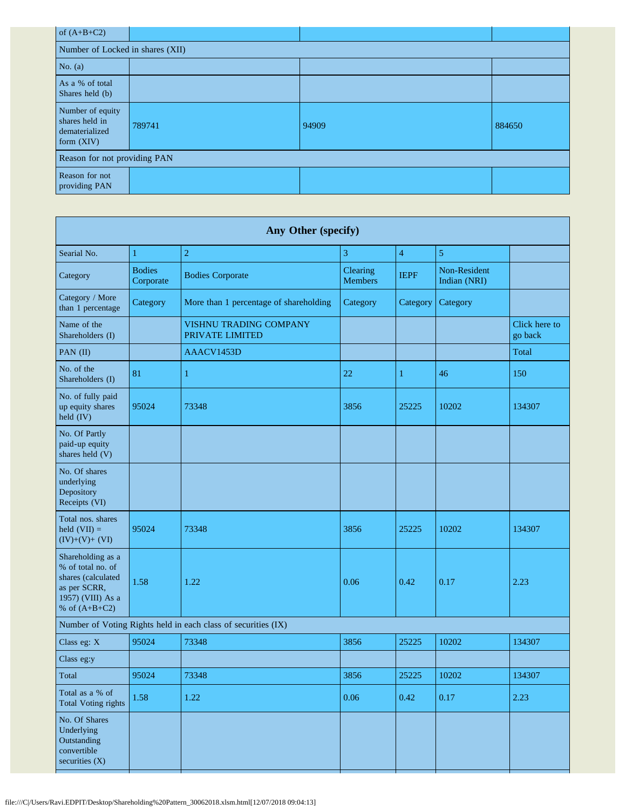| of $(A+B+C2)$                                                      |        |       |        |  |  |  |
|--------------------------------------------------------------------|--------|-------|--------|--|--|--|
| Number of Locked in shares (XII)                                   |        |       |        |  |  |  |
| No. $(a)$                                                          |        |       |        |  |  |  |
| As a % of total<br>Shares held (b)                                 |        |       |        |  |  |  |
| Number of equity<br>shares held in<br>dematerialized<br>form (XIV) | 789741 | 94909 | 884650 |  |  |  |
| Reason for not providing PAN                                       |        |       |        |  |  |  |
| Reason for not<br>providing PAN                                    |        |       |        |  |  |  |

| Any Other (specify)                                                                                                  |                            |                                                               |                            |                |                              |                          |
|----------------------------------------------------------------------------------------------------------------------|----------------------------|---------------------------------------------------------------|----------------------------|----------------|------------------------------|--------------------------|
| Searial No.                                                                                                          | $\mathbf{1}$               | $\overline{2}$                                                | 3                          | $\overline{4}$ | $\mathfrak{S}$               |                          |
| Category                                                                                                             | <b>Bodies</b><br>Corporate | <b>Bodies Corporate</b>                                       | Clearing<br><b>Members</b> | <b>IEPF</b>    | Non-Resident<br>Indian (NRI) |                          |
| Category / More<br>than 1 percentage                                                                                 | Category                   | More than 1 percentage of shareholding                        | Category                   | Category       | Category                     |                          |
| Name of the<br>Shareholders (I)                                                                                      |                            | <b>VISHNU TRADING COMPANY</b><br>PRIVATE LIMITED              |                            |                |                              | Click here to<br>go back |
| PAN (II)                                                                                                             |                            | AAACV1453D                                                    |                            |                |                              | Total                    |
| No. of the<br>Shareholders (I)                                                                                       | 81                         | 1                                                             | 22                         | 1              | 46                           | 150                      |
| No. of fully paid<br>up equity shares<br>held (IV)                                                                   | 95024                      | 73348                                                         | 3856                       | 25225          | 10202                        | 134307                   |
| No. Of Partly<br>paid-up equity<br>shares held (V)                                                                   |                            |                                                               |                            |                |                              |                          |
| No. Of shares<br>underlying<br>Depository<br>Receipts (VI)                                                           |                            |                                                               |                            |                |                              |                          |
| Total nos. shares<br>held $(VII) =$<br>$(IV)+(V)+(VI)$                                                               | 95024                      | 73348                                                         | 3856                       | 25225          | 10202                        | 134307                   |
| Shareholding as a<br>% of total no. of<br>shares (calculated<br>as per SCRR,<br>1957) (VIII) As a<br>% of $(A+B+C2)$ | 1.58                       | 1.22                                                          | 0.06                       | 0.42           | 0.17                         | 2.23                     |
|                                                                                                                      |                            | Number of Voting Rights held in each class of securities (IX) |                            |                |                              |                          |
| Class eg: X                                                                                                          | 95024                      | 73348                                                         | 3856                       | 25225          | 10202                        | 134307                   |
| Class eg:y                                                                                                           |                            |                                                               |                            |                |                              |                          |
| Total                                                                                                                | 95024                      | 73348                                                         | 3856                       | 25225          | 10202                        | 134307                   |
| Total as a % of<br><b>Total Voting rights</b>                                                                        | 1.58                       | 1.22                                                          | 0.06                       | 0.42           | 0.17                         | 2.23                     |
| No. Of Shares<br>Underlying<br>Outstanding<br>convertible<br>securities (X)                                          |                            |                                                               |                            |                |                              |                          |